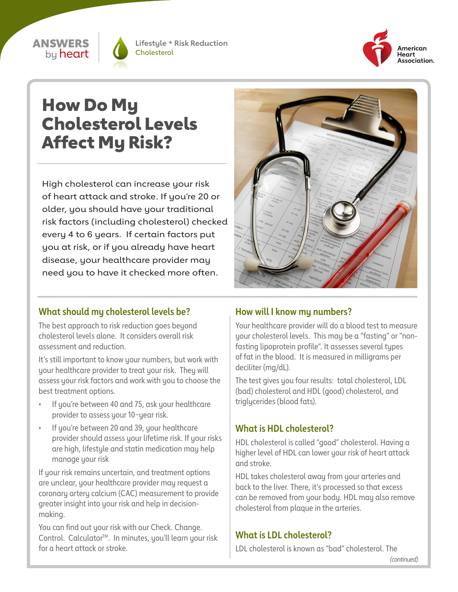### ANSWERS by **heart**



**Lifestyle + Risk Reduction Cholesterol** 



# How Do My Cholesterol Levels Affect My Risk?

High cholesterol can increase your risk of heart attack and stroke. If you're 20 or older, you should have your traditional risk factors (including cholesterol) checked every 4 to 6 years. If certain factors put you at risk, or if you already have heart disease, your healthcare provider may need you to have it checked more often.



# **What should my cholesterol levels be?**

The best approach to risk reduction goes beyond cholesterol levels alone. It considers overall risk assessment and reduction.

It's still important to know your numbers, but work with your healthcare provider to treat your risk. They will assess your risk factors and work with you to choose the best treatment options.

- If you're between 40 and 75, ask your healthcare provider to assess your 10−year risk.
- If you're between 20 and 39, your healthcare provider should assess your lifetime risk. If your risks are high, lifestyle and statin medication may help manage your risk

If your risk remains uncertain, and treatment options are unclear, your healthcare provider may request a coronary artery calcium (CAC) measurement to provide greater insight into your risk and help in decisionmaking.

You can find out your risk with our Check. Change. Control. Calculator<sup>™</sup>. In minutes, you'll learn your risk for a heart attack or stroke.

# **How will I know my numbers?**

Your healthcare provider will do a blood test to measure your cholesterol levels. This may be a "fasting" or "nonfasting lipoprotein profile". It assesses several types of fat in the blood. It is measured in milligrams per deciliter (mg/dL).

The test gives you four results: total cholesterol, LDL (bad) cholesterol and HDL (good) cholesterol, and triglycerides (blood fats).

# **What is HDL cholesterol?**

HDL cholesterol is called "good" cholesterol. Having a higher level of HDL can lower your risk of heart attack and stroke.

HDL takes cholesterol away from your arteries and back to the liver. There, it's processed so that excess can be removed from your body. HDL may also remove cholesterol from plaque in the arteries.

# **What is LDL cholesterol?**

LDL cholesterol is known as "bad" cholesterol. The